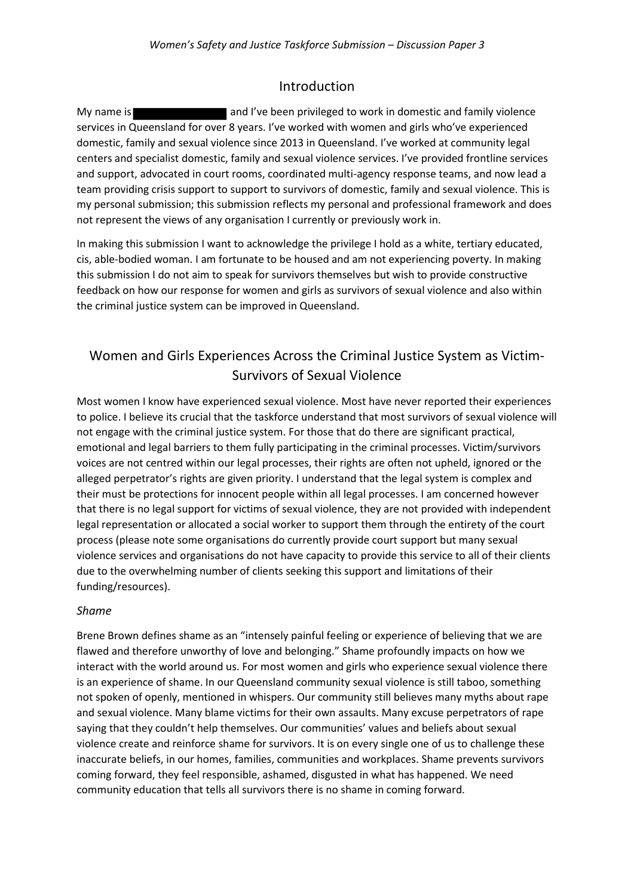### Introduction

My name is **and I've been privileged to work in domestic and family violence** services in Queensland for over 8 years. I've worked with women and girls who've experienced domestic, family and sexual violence since 2013 in Queensland. I've worked at community legal centers and specialist domestic, family and sexual violence services. I've provided frontline services and support, advocated in court rooms, coordinated multi-agency response teams, and now lead a team providing crisis support to support to survivors of domestic, family and sexual violence. This is my personal submission; this submission reflects my personal and professional framework and does not represent the views of any organisation I currently or previously work in.

In making this submission I want to acknowledge the privilege I hold as a white, tertiary educated, cis, able-bodied woman. I am fortunate to be housed and am not experiencing poverty. In making this submission I do not aim to speak for survivors themselves but wish to provide constructive feedback on how our response for women and girls as survivors of sexual violence and also within the criminal justice system can be improved in Queensland.

# Women and Girls Experiences Across the Criminal Justice System as Victim-Survivors of Sexual Violence

Most women I know have experienced sexual violence. Most have never reported their experiences to police. I believe its crucial that the taskforce understand that most survivors of sexual violence will not engage with the criminal justice system. For those that do there are significant practical, emotional and legal barriers to them fully participating in the criminal processes. Victim/survivors voices are not centred within our legal processes, their rights are often not upheld, ignored or the alleged perpetrator's rights are given priority. I understand that the legal system is complex and their must be protections for innocent people within all legal processes. I am concerned however that there is no legal support for victims of sexual violence, they are not provided with independent legal representation or allocated a social worker to support them through the entirety of the court process (please note some organisations do currently provide court support but many sexual violence services and organisations do not have capacity to provide this service to all of their clients due to the overwhelming number of clients seeking this support and limitations of their funding/resources).

#### *Shame*

Brene Brown defines shame as an "intensely painful feeling or experience of believing that we are flawed and therefore unworthy of love and belonging." Shame profoundly impacts on how we interact with the world around us. For most women and girls who experience sexual violence there is an experience of shame. In our Queensland community sexual violence is still taboo, something not spoken of openly, mentioned in whispers. Our community still believes many myths about rape and sexual violence. Many blame victims for their own assaults. Many excuse perpetrators of rape saying that they couldn't help themselves. Our communities' values and beliefs about sexual violence create and reinforce shame for survivors. It is on every single one of us to challenge these inaccurate beliefs, in our homes, families, communities and workplaces. Shame prevents survivors coming forward, they feel responsible, ashamed, disgusted in what has happened. We need community education that tells all survivors there is no shame in coming forward.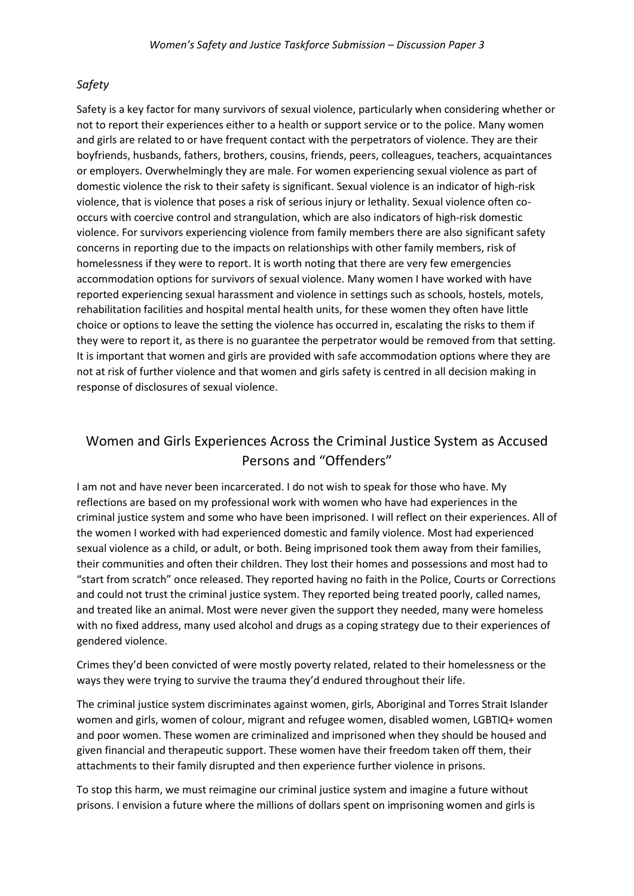### *Safety*

Safety is a key factor for many survivors of sexual violence, particularly when considering whether or not to report their experiences either to a health or support service or to the police. Many women and girls are related to or have frequent contact with the perpetrators of violence. They are their boyfriends, husbands, fathers, brothers, cousins, friends, peers, colleagues, teachers, acquaintances or employers. Overwhelmingly they are male. For women experiencing sexual violence as part of domestic violence the risk to their safety is significant. Sexual violence is an indicator of high-risk violence, that is violence that poses a risk of serious injury or lethality. Sexual violence often cooccurs with coercive control and strangulation, which are also indicators of high-risk domestic violence. For survivors experiencing violence from family members there are also significant safety concerns in reporting due to the impacts on relationships with other family members, risk of homelessness if they were to report. It is worth noting that there are very few emergencies accommodation options for survivors of sexual violence. Many women I have worked with have reported experiencing sexual harassment and violence in settings such as schools, hostels, motels, rehabilitation facilities and hospital mental health units, for these women they often have little choice or options to leave the setting the violence has occurred in, escalating the risks to them if they were to report it, as there is no guarantee the perpetrator would be removed from that setting. It is important that women and girls are provided with safe accommodation options where they are not at risk of further violence and that women and girls safety is centred in all decision making in response of disclosures of sexual violence.

## Women and Girls Experiences Across the Criminal Justice System as Accused Persons and "Offenders"

I am not and have never been incarcerated. I do not wish to speak for those who have. My reflections are based on my professional work with women who have had experiences in the criminal justice system and some who have been imprisoned. I will reflect on their experiences. All of the women I worked with had experienced domestic and family violence. Most had experienced sexual violence as a child, or adult, or both. Being imprisoned took them away from their families, their communities and often their children. They lost their homes and possessions and most had to "start from scratch" once released. They reported having no faith in the Police, Courts or Corrections and could not trust the criminal justice system. They reported being treated poorly, called names, and treated like an animal. Most were never given the support they needed, many were homeless with no fixed address, many used alcohol and drugs as a coping strategy due to their experiences of gendered violence.

Crimes they'd been convicted of were mostly poverty related, related to their homelessness or the ways they were trying to survive the trauma they'd endured throughout their life.

The criminal justice system discriminates against women, girls, Aboriginal and Torres Strait Islander women and girls, women of colour, migrant and refugee women, disabled women, LGBTIQ+ women and poor women. These women are criminalized and imprisoned when they should be housed and given financial and therapeutic support. These women have their freedom taken off them, their attachments to their family disrupted and then experience further violence in prisons.

To stop this harm, we must reimagine our criminal justice system and imagine a future without prisons. I envision a future where the millions of dollars spent on imprisoning women and girls is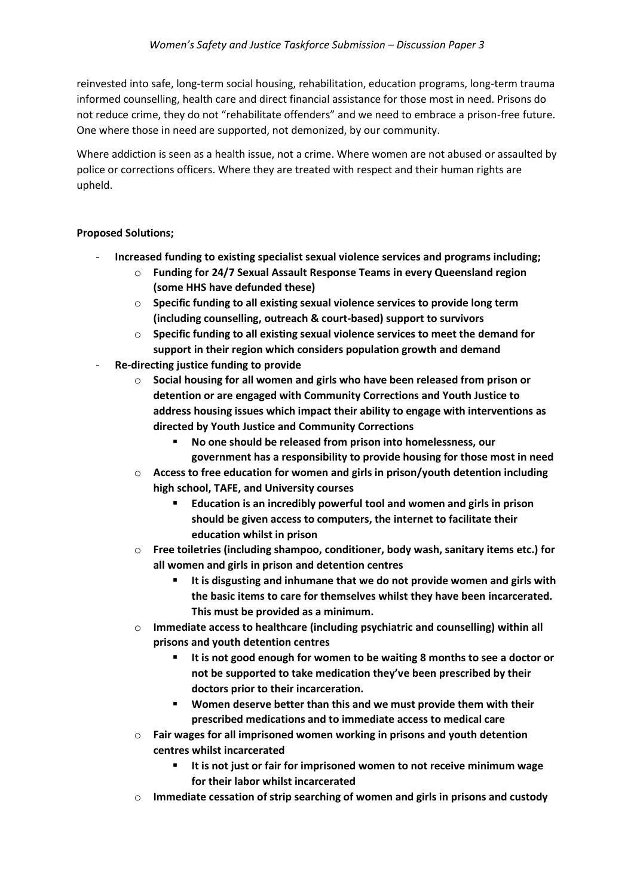reinvested into safe, long-term social housing, rehabilitation, education programs, long-term trauma informed counselling, health care and direct financial assistance for those most in need. Prisons do not reduce crime, they do not "rehabilitate offenders" and we need to embrace a prison-free future. One where those in need are supported, not demonized, by our community.

Where addiction is seen as a health issue, not a crime. Where women are not abused or assaulted by police or corrections officers. Where they are treated with respect and their human rights are upheld.

### **Proposed Solutions;**

- **Increased funding to existing specialist sexual violence services and programs including;** 
	- o **Funding for 24/7 Sexual Assault Response Teams in every Queensland region (some HHS have defunded these)**
	- o **Specific funding to all existing sexual violence services to provide long term (including counselling, outreach & court-based) support to survivors**
	- o **Specific funding to all existing sexual violence services to meet the demand for support in their region which considers population growth and demand**
- **Re-directing justice funding to provide**
	- o **Social housing for all women and girls who have been released from prison or detention or are engaged with Community Corrections and Youth Justice to address housing issues which impact their ability to engage with interventions as directed by Youth Justice and Community Corrections**
		- No one should be released from prison into homelessness, our **government has a responsibility to provide housing for those most in need**
	- o **Access to free education for women and girls in prison/youth detention including high school, TAFE, and University courses** 
		- **Education is an incredibly powerful tool and women and girls in prison should be given access to computers, the internet to facilitate their education whilst in prison**
	- o **Free toiletries (including shampoo, conditioner, body wash, sanitary items etc.) for all women and girls in prison and detention centres**
		- **It is disgusting and inhumane that we do not provide women and girls with the basic items to care for themselves whilst they have been incarcerated. This must be provided as a minimum.**
	- o **Immediate access to healthcare (including psychiatric and counselling) within all prisons and youth detention centres**
		- It is not good enough for women to be waiting 8 months to see a doctor or **not be supported to take medication they've been prescribed by their doctors prior to their incarceration.**
		- **Women deserve better than this and we must provide them with their prescribed medications and to immediate access to medical care**
	- o **Fair wages for all imprisoned women working in prisons and youth detention centres whilst incarcerated**
		- **It is not just or fair for imprisoned women to not receive minimum wage for their labor whilst incarcerated**
	- o **Immediate cessation of strip searching of women and girls in prisons and custody**